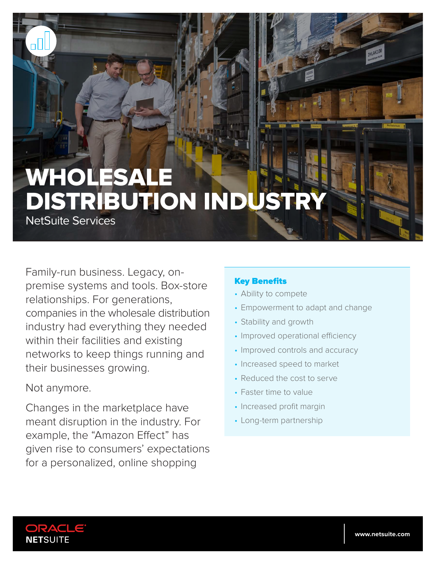# WHOLESALE DISTRIBUTION INDUST

NetSuite Services

Family-run business. Legacy, onpremise systems and tools. Box-store relationships. For generations, companies in the wholesale distribution industry had everything they needed within their facilities and existing networks to keep things running and their businesses growing.

## Not anymore.

Changes in the marketplace have meant disruption in the industry. For example, the "Amazon Effect" has given rise to consumers' expectations for a personalized, online shopping

## Key Benefits

- Ability to compete
- Empowerment to adapt and change
- Stability and growth
- Improved operational efficiency
- Improved controls and accuracy
- Increased speed to market
- Reduced the cost to serve
- Faster time to value
- Increased profit margin
- Long-term partnership

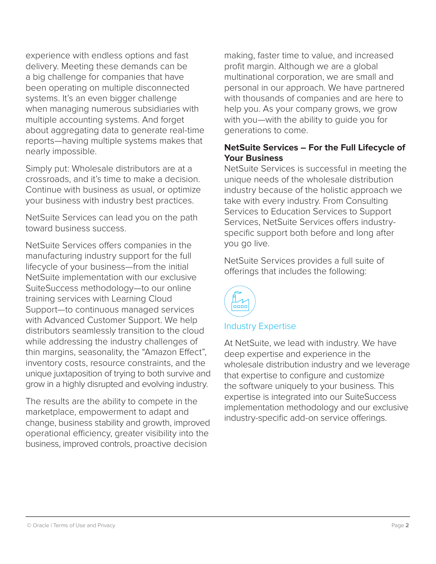experience with endless options and fast delivery. Meeting these demands can be a big challenge for companies that have been operating on multiple disconnected systems. It's an even bigger challenge when managing numerous subsidiaries with multiple accounting systems. And forget about aggregating data to generate real-time reports—having multiple systems makes that nearly impossible.

Simply put: Wholesale distributors are at a crossroads, and it's time to make a decision. Continue with business as usual, or optimize your business with industry best practices.

NetSuite Services can lead you on the path toward business success.

NetSuite Services offers companies in the manufacturing industry support for the full lifecycle of your business—from the initial NetSuite implementation with our exclusive SuiteSuccess methodology—to our online training services with Learning Cloud Support—to continuous managed services with Advanced Customer Support. We help distributors seamlessly transition to the cloud while addressing the industry challenges of thin margins, seasonality, the "Amazon Effect", inventory costs, resource constraints, and the unique juxtaposition of trying to both survive and grow in a highly disrupted and evolving industry.

The results are the ability to compete in the marketplace, empowerment to adapt and change, business stability and growth, improved operational efficiency, greater visibility into the business, improved controls, proactive decision

making, faster time to value, and increased profit margin. Although we are a global multinational corporation, we are small and personal in our approach. We have partnered with thousands of companies and are here to help you. As your company grows, we grow with you—with the ability to guide you for generations to come.

## **NetSuite Services – For the Full Lifecycle of Your Business**

NetSuite Services is successful in meeting the unique needs of the wholesale distribution industry because of the holistic approach we take with every industry. From Consulting Services to Education Services to Support Services, NetSuite Services offers industryspecific support both before and long after you go live.

NetSuite Services provides a full suite of offerings that includes the following:



## Industry Expertise

At NetSuite, we lead with industry. We have deep expertise and experience in the wholesale distribution industry and we leverage that expertise to configure and customize the software uniquely to your business. This expertise is integrated into our SuiteSuccess implementation methodology and our exclusive industry-specific add-on service offerings.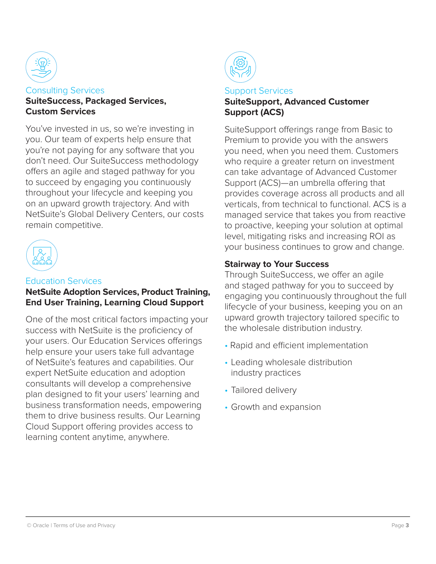

## Consulting Services **SuiteSuccess, Packaged Services, Custom Services**

You've invested in us, so we're investing in you. Our team of experts help ensure that you're not paying for any software that you don't need. Our SuiteSuccess methodology offers an agile and staged pathway for you to succeed by engaging you continuously throughout your lifecycle and keeping you on an upward growth trajectory. And with NetSuite's Global Delivery Centers, our costs remain competitive.



#### Education Services

## **NetSuite Adoption Services, Product Training, End User Training, Learning Cloud Support**

One of the most critical factors impacting your success with NetSuite is the proficiency of your users. Our Education Services offerings help ensure your users take full advantage of NetSuite's features and capabilities. Our expert NetSuite education and adoption consultants will develop a comprehensive plan designed to fit your users' learning and business transformation needs, empowering them to drive business results. Our Learning Cloud Support offering provides access to learning content anytime, anywhere.



#### Support Services **SuiteSupport, Advanced Customer Support (ACS)**

SuiteSupport offerings range from Basic to Premium to provide you with the answers you need, when you need them. Customers who require a greater return on investment can take advantage of Advanced Customer Support (ACS)—an umbrella offering that provides coverage across all products and all verticals, from technical to functional. ACS is a managed service that takes you from reactive to proactive, keeping your solution at optimal level, mitigating risks and increasing ROI as your business continues to grow and change.

## **Stairway to Your Success**

Through SuiteSuccess, we offer an agile and staged pathway for you to succeed by engaging you continuously throughout the full lifecycle of your business, keeping you on an upward growth trajectory tailored specific to the wholesale distribution industry.

- Rapid and efficient implementation
- Leading wholesale distribution industry practices
- Tailored delivery
- Growth and expansion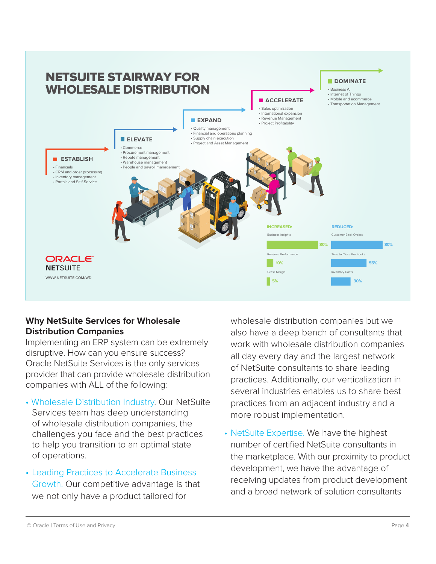

## **Why NetSuite Services for Wholesale Distribution Companies**

Implementing an ERP system can be extremely disruptive. How can you ensure success? Oracle NetSuite Services is the only services provider that can provide wholesale distribution companies with ALL of the following:

- Wholesale Distribution Industry. Our NetSuite Services team has deep understanding of wholesale distribution companies, the challenges you face and the best practices to help you transition to an optimal state of operations.
- Leading Practices to Accelerate Business Growth. Our competitive advantage is that we not only have a product tailored for

wholesale distribution companies but we also have a deep bench of consultants that work with wholesale distribution companies all day every day and the largest network of NetSuite consultants to share leading practices. Additionally, our verticalization in several industries enables us to share best practices from an adjacent industry and a more robust implementation.

• NetSuite Expertise. We have the highest number of certified NetSuite consultants in the marketplace. With our proximity to product development, we have the advantage of receiving updates from product development and a broad network of solution consultants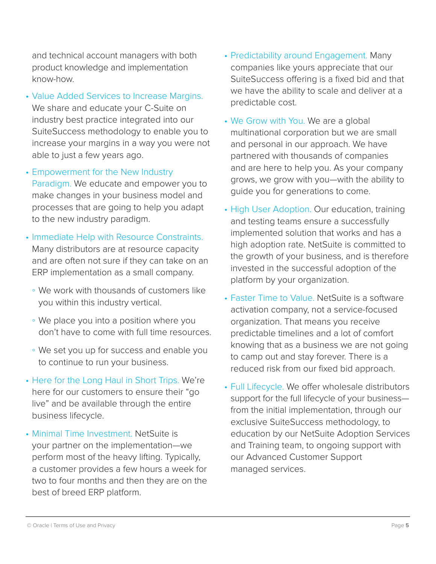and technical account managers with both product knowledge and implementation know-how.

- Value Added Services to Increase Margins. We share and educate your C-Suite on industry best practice integrated into our SuiteSuccess methodology to enable you to increase your margins in a way you were not able to just a few years ago.
- Empowerment for the New Industry Paradigm. We educate and empower you to make changes in your business model and processes that are going to help you adapt to the new industry paradigm.
- Immediate Help with Resource Constraints. Many distributors are at resource capacity and are often not sure if they can take on an ERP implementation as a small company.
	- We work with thousands of customers like you within this industry vertical.
	- We place you into a position where you don't have to come with full time resources.
	- We set you up for success and enable you to continue to run your business.
- Here for the Long Haul in Short Trips. We're here for our customers to ensure their "go live" and be available through the entire business lifecycle.
- Minimal Time Investment. NetSuite is your partner on the implementation—we perform most of the heavy lifting. Typically, a customer provides a few hours a week for two to four months and then they are on the best of breed ERP platform.
- Predictability around Engagement. Many companies like yours appreciate that our SuiteSuccess offering is a fixed bid and that we have the ability to scale and deliver at a predictable cost.
- We Grow with You. We are a global multinational corporation but we are small and personal in our approach. We have partnered with thousands of companies and are here to help you. As your company grows, we grow with you—with the ability to guide you for generations to come.
- High User Adoption. Our education, training and testing teams ensure a successfully implemented solution that works and has a high adoption rate. NetSuite is committed to the growth of your business, and is therefore invested in the successful adoption of the platform by your organization.
- Faster Time to Value. NetSuite is a software activation company, not a service-focused organization. That means you receive predictable timelines and a lot of comfort knowing that as a business we are not going to camp out and stay forever. There is a reduced risk from our fixed bid approach.
- Full Lifecycle. We offer wholesale distributors support for the full lifecycle of your business from the initial implementation, through our exclusive SuiteSuccess methodology, to education by our NetSuite Adoption Services and Training team, to ongoing support with our Advanced Customer Support managed services.